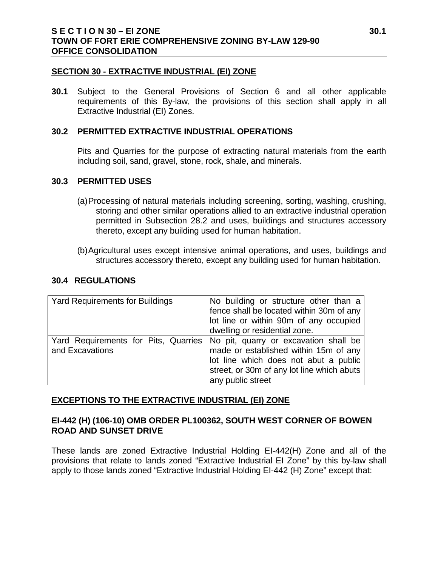## **SECTION 30 - EXTRACTIVE INDUSTRIAL (EI) ZONE**

**30.1** Subject to the General Provisions of Section 6 and all other applicable requirements of this By-law, the provisions of this section shall apply in all Extractive Industrial (EI) Zones.

## **30.2 PERMITTED EXTRACTIVE INDUSTRIAL OPERATIONS**

Pits and Quarries for the purpose of extracting natural materials from the earth including soil, sand, gravel, stone, rock, shale, and minerals.

#### **30.3 PERMITTED USES**

- (a)Processing of natural materials including screening, sorting, washing, crushing, storing and other similar operations allied to an extractive industrial operation permitted in Subsection 28.2 and uses, buildings and structures accessory thereto, except any building used for human habitation.
- (b)Agricultural uses except intensive animal operations, and uses, buildings and structures accessory thereto, except any building used for human habitation.

## **30.4 REGULATIONS**

| <b>Yard Requirements for Buildings</b>                  | No building or structure other than a                                                                                                                                                      |
|---------------------------------------------------------|--------------------------------------------------------------------------------------------------------------------------------------------------------------------------------------------|
|                                                         | fence shall be located within 30m of any                                                                                                                                                   |
|                                                         | lot line or within 90m of any occupied                                                                                                                                                     |
|                                                         | dwelling or residential zone.                                                                                                                                                              |
| Yard Requirements for Pits, Quarries<br>and Excavations | No pit, quarry or excavation shall be<br>made or established within 15m of any<br>lot line which does not abut a public<br>street, or 30m of any lot line which abuts<br>any public street |

## **EXCEPTIONS TO THE EXTRACTIVE INDUSTRIAL (EI) ZONE**

# **EI-442 (H) (106-10) OMB ORDER PL100362, SOUTH WEST CORNER OF BOWEN ROAD AND SUNSET DRIVE**

These lands are zoned Extractive Industrial Holding EI-442(H) Zone and all of the provisions that relate to lands zoned "Extractive Industrial EI Zone" by this by-law shall apply to those lands zoned "Extractive Industrial Holding EI-442 (H) Zone" except that: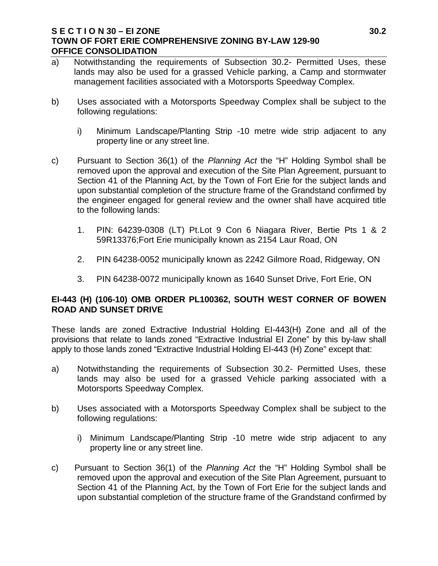# **S E C T I O N 30 – EI ZONE 30.2 TOWN OF FORT ERIE COMPREHENSIVE ZONING BY-LAW 129-90 OFFICE CONSOLIDATION**

- a) Notwithstanding the requirements of Subsection 30.2- Permitted Uses, these lands may also be used for a grassed Vehicle parking, a Camp and stormwater management facilities associated with a Motorsports Speedway Complex.
- b) Uses associated with a Motorsports Speedway Complex shall be subject to the following regulations:
	- i) Minimum Landscape/Planting Strip -10 metre wide strip adjacent to any property line or any street line.
- c) Pursuant to Section 36(1) of the *Planning Act* the "H" Holding Symbol shall be removed upon the approval and execution of the Site Plan Agreement, pursuant to Section 41 of the Planning Act, by the Town of Fort Erie for the subject lands and upon substantial completion of the structure frame of the Grandstand confirmed by the engineer engaged for general review and the owner shall have acquired title to the following lands:
	- 1. PIN: 64239-0308 (LT) Pt.Lot 9 Con 6 Niagara River, Bertie Pts 1 & 2 59R13376;Fort Erie municipally known as 2154 Laur Road, ON
	- 2. PIN 64238-0052 municipally known as 2242 Gilmore Road, Ridgeway, ON
	- 3. PIN 64238-0072 municipally known as 1640 Sunset Drive, Fort Erie, ON

# **EI-443 (H) (106-10) OMB ORDER PL100362, SOUTH WEST CORNER OF BOWEN ROAD AND SUNSET DRIVE**

These lands are zoned Extractive Industrial Holding EI-443(H) Zone and all of the provisions that relate to lands zoned "Extractive Industrial EI Zone" by this by-law shall apply to those lands zoned "Extractive Industrial Holding EI-443 (H) Zone" except that:

- a) Notwithstanding the requirements of Subsection 30.2- Permitted Uses, these lands may also be used for a grassed Vehicle parking associated with a Motorsports Speedway Complex.
- b) Uses associated with a Motorsports Speedway Complex shall be subject to the following regulations:
	- i) Minimum Landscape/Planting Strip -10 metre wide strip adjacent to any property line or any street line.
- c) Pursuant to Section 36(1) of the *Planning Act* the "H" Holding Symbol shall be removed upon the approval and execution of the Site Plan Agreement, pursuant to Section 41 of the Planning Act, by the Town of Fort Erie for the subject lands and upon substantial completion of the structure frame of the Grandstand confirmed by